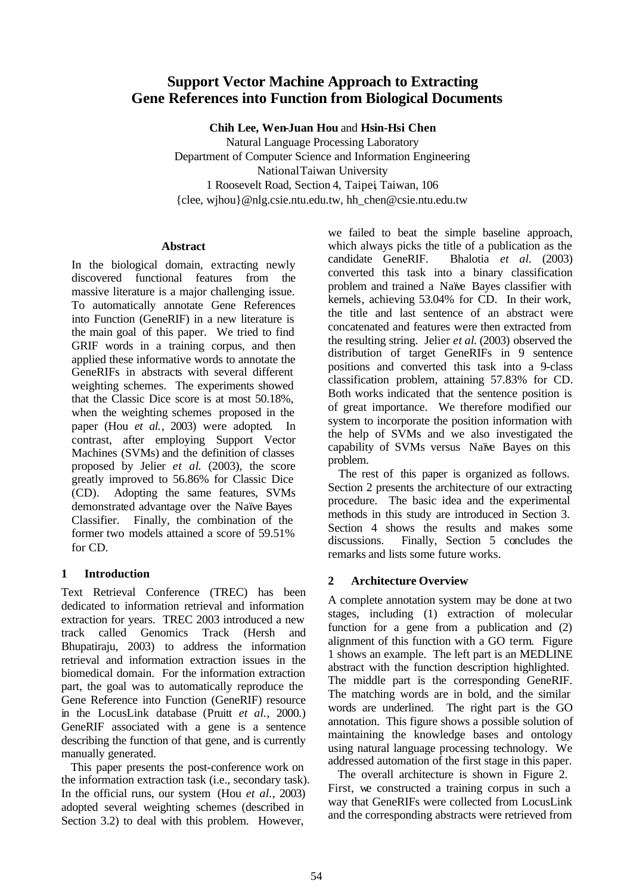# **Support Vector Machine Approach to Extracting Gene References into Function from Biological Documents**

**Chih Lee, Wen-Juan Hou** and **Hsin-Hsi Chen**

Natural Language Processing Laboratory Department of Computer Science and Information Engineering National Taiwan University 1 Roosevelt Road, Section 4, Taipei, Taiwan, 106 {clee, wjhou}@nlg.csie.ntu.edu.tw, hh\_chen@csie.ntu.edu.tw

#### **Abstract**

In the biological domain, extracting newly discovered functional features from the massive literature is a major challenging issue. To automatically annotate Gene References into Function (GeneRIF) in a new literature is the main goal of this paper. We tried to find GRIF words in a training corpus, and then applied these informative words to annotate the GeneRIFs in abstracts with several different weighting schemes. The experiments showed that the Classic Dice score is at most 50.18%, when the weighting schemes proposed in the paper (Hou *et al.*, 2003) were adopted. In contrast, after employing Support Vector Machines (SVMs) and the definition of classes proposed by Jelier *et al*. (2003), the score greatly improved to 56.86% for Classic Dice (CD). Adopting the same features, SVMs demonstrated advantage over the Naïve Bayes Classifier. Finally, the combination of the former two models attained a score of 59.51% for CD.

# **1 Introduction**

Text Retrieval Conference (TREC) has been dedicated to information retrieval and information extraction for years. TREC 2003 introduced a new track called Genomics Track (Hersh and Bhupatiraju, 2003) to address the information retrieval and information extraction issues in the biomedical domain. For the information extraction part, the goal was to automatically reproduce the Gene Reference into Function (GeneRIF) resource in the LocusLink database (Pruitt *et al.*, 2000.) GeneRIF associated with a gene is a sentence describing the function of that gene, and is currently manually generated.

This paper presents the post-conference work on the information extraction task (i.e., secondary task). In the official runs, our system (Hou *et al.*, 2003) adopted several weighting schemes (described in Section 3.2) to deal with this problem. However,

we failed to beat the simple baseline approach, which always picks the title of a publication as the candidate GeneRIF. Bhalotia *et al.* (2003) converted this task into a binary classification problem and trained a Naïve Bayes classifier with kernels, achieving 53.04% for CD. In their work, the title and last sentence of an abstract were concatenated and features were then extracted from the resulting string. Jelier *et al*. (2003) observed the distribution of target GeneRIFs in 9 sentence positions and converted this task into a 9-class classification problem, attaining 57.83% for CD. Both works indicated that the sentence position is of great importance. We therefore modified our system to incorporate the position information with the help of SVMs and we also investigated the capability of SVMs versus Naïve Bayes on this problem.

The rest of this paper is organized as follows. Section 2 presents the architecture of our extracting procedure. The basic idea and the experimental methods in this study are introduced in Section 3. Section 4 shows the results and makes some discussions. Finally, Section 5 concludes the remarks and lists some future works.

# **2 Architecture Overview**

A complete annotation system may be done at two stages, including (1) extraction of molecular function for a gene from a publication and (2) alignment of this function with a GO term. Figure 1 shows an example. The left part is an MEDLINE abstract with the function description highlighted. The middle part is the corresponding GeneRIF. The matching words are in bold, and the similar words are underlined. The right part is the GO annotation. This figure shows a possible solution of maintaining the knowledge bases and ontology using natural language processing technology. We addressed automation of the first stage in this paper.

The overall architecture is shown in Figure 2. First, we constructed a training corpus in such a way that GeneRIFs were collected from LocusLink and the corresponding abstracts were retrieved from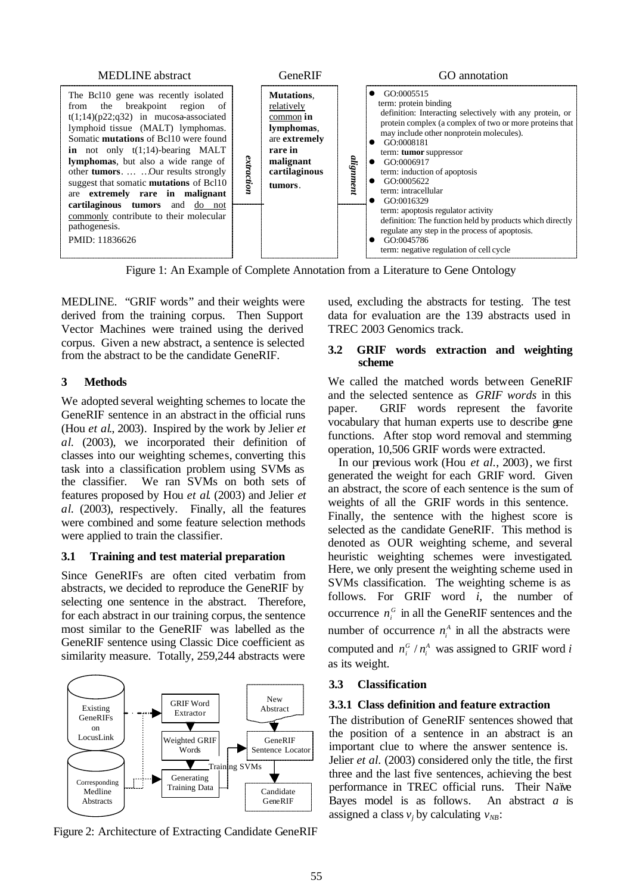

MEDLINE. "GRIF words" and their weights were derived from the training corpus. Then Support Vector Machines were trained using the derived corpus. Given a new abstract, a sentence is selected from the abstract to be the candidate GeneRIF.

## **3 Methods**

We adopted several weighting schemes to locate the GeneRIF sentence in an abstract in the official runs (Hou *et al*., 2003). Inspired by the work by Jelier *et al*. (2003), we incorporated their definition of classes into our weighting schemes, converting this task into a classification problem using SVMs as the classifier. We ran SVMs on both sets of features proposed by Hou *et al*. (2003) and Jelier *et al*. (2003), respectively. Finally, all the features were combined and some feature selection methods were applied to train the classifier.

## **3.1 Training and test material preparation**

Since GeneRIFs are often cited verbatim from abstracts, we decided to reproduce the GeneRIF by selecting one sentence in the abstract. Therefore, for each abstract in our training corpus, the sentence most similar to the GeneRIF was labelled as the GeneRIF sentence using Classic Dice coefficient as similarity measure. Totally, 259,244 abstracts were



Figure 2: Architecture of Extracting Candidate GeneRIF

used, excluding the abstracts for testing. The test data for evaluation are the 139 abstracts used in TREC 2003 Genomics track.

#### **3.2 GRIF words extraction and weighting scheme**

We called the matched words between GeneRIF and the selected sentence as *GRIF words* in this paper. GRIF words represent the favorite vocabulary that human experts use to describe gene functions. After stop word removal and stemming operation, 10,506 GRIF words were extracted.

In our previous work (Hou *et al.*, 2003), we first generated the weight for each GRIF word. Given an abstract, the score of each sentence is the sum of weights of all the GRIF words in this sentence. Finally, the sentence with the highest score is selected as the candidate GeneRIF. This method is denoted as OUR weighting scheme, and several heuristic weighting schemes were investigated. Here, we only present the weighting scheme used in SVMs classification. The weighting scheme is as follows. For GRIF word *i*, the number of occurrence  $n_i^G$  in all the GeneRIF sentences and the number of occurrence  $n_i^A$  in all the abstracts were computed and  $n_i^G / n_i^A$  was assigned to GRIF word *i* as its weight.

# **3.3 Classification**

# **3.3.1 Class definition and feature extraction**

The distribution of GeneRIF sentences showed that the position of a sentence in an abstract is an important clue to where the answer sentence is. Jelier *et al.* (2003) considered only the title, the first three and the last five sentences, achieving the best performance in TREC official runs. Their Naïve Bayes model is as follows. An abstract *a* is assigned a class  $v_j$  by calculating  $v_{NB}$ :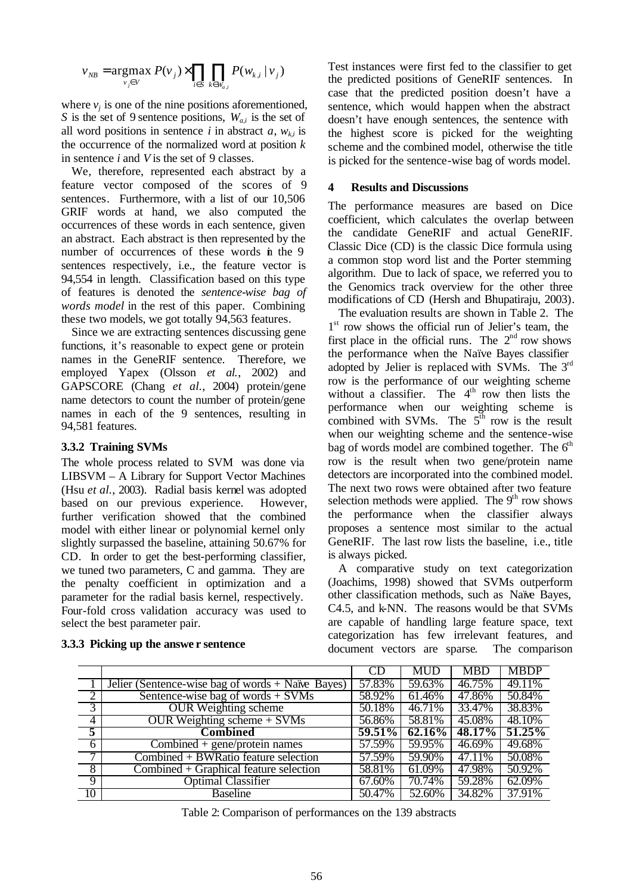$$
v_{NB} = \underset{v_{j} \in V}{\text{argmax}} \ P(v_{j}) \times \prod_{i \in S} \prod_{k \in W_{a,i}} P(w_{k,i} \mid v_{j})
$$

where  $v_j$  is one of the nine positions aforementioned, *S* is the set of 9 sentence positions, *Wa,i* is the set of all word positions in sentence *i* in abstract  $a$ ,  $w_{k,i}$  is the occurrence of the normalized word at position *k* in sentence *i* and *V* is the set of 9 classes.

We, therefore, represented each abstract by a feature vector composed of the scores of 9 sentences. Furthermore, with a list of our 10,506 GRIF words at hand, we also computed the occurrences of these words in each sentence, given an abstract. Each abstract is then represented by the number of occurrences of these words in the 9 sentences respectively, i.e., the feature vector is 94,554 in length. Classification based on this type of features is denoted the *sentence-wise bag of words model* in the rest of this paper. Combining these two models, we got totally 94,563 features.

Since we are extracting sentences discussing gene functions, it's reasonable to expect gene or protein names in the GeneRIF sentence. Therefore, we employed Yapex (Olsson *et al.*, 2002) and GAPSCORE (Chang *et al.*, 2004) protein/gene name detectors to count the number of protein/gene names in each of the 9 sentences, resulting in 94,581 features.

#### **3.3.2 Training SVMs**

The whole process related to SVM was done via LIBSVM – A Library for Support Vector Machines (Hsu *et al.*, 2003). Radial basis kernel was adopted based on our previous experience. However, further verification showed that the combined model with either linear or polynomial kernel only slightly surpassed the baseline, attaining 50.67% for CD. In order to get the best-performing classifier, we tuned two parameters, C and gamma. They are the penalty coefficient in optimization and a parameter for the radial basis kernel, respectively. Four-fold cross validation accuracy was used to select the best parameter pair.

Test instances were first fed to the classifier to get the predicted positions of GeneRIF sentences. In case that the predicted position doesn't have a sentence, which would happen when the abstract doesn't have enough sentences, the sentence with the highest score is picked for the weighting scheme and the combined model, otherwise the title is picked for the sentence-wise bag of words model.

#### **4 Results and Discussions**

The performance measures are based on Dice coefficient, which calculates the overlap between the candidate GeneRIF and actual GeneRIF. Classic Dice (CD) is the classic Dice formula using a common stop word list and the Porter stemming algorithm. Due to lack of space, we referred you to the Genomics track overview for the other three modifications of CD (Hersh and Bhupatiraju, 2003).

The evaluation results are shown in Table 2. The 1<sup>st</sup> row shows the official run of Jelier's team, the first place in the official runs. The  $2<sup>nd</sup>$  row shows the performance when the Naïve Bayes classifier adopted by Jelier is replaced with SVMs. The  $3<sup>rd</sup>$ row is the performance of our weighting scheme without a classifier. The  $4<sup>th</sup>$  row then lists the performance when our weighting scheme is combined with SVMs. The  $5^{\text{th}}$  row is the result when our weighting scheme and the sentence-wise bag of words model are combined together. The  $6<sup>th</sup>$ row is the result when two gene/protein name detectors are incorporated into the combined model. The next two rows were obtained after two feature selection methods were applied. The  $9<sup>th</sup>$  row shows the performance when the classifier always proposes a sentence most similar to the actual GeneRIF. The last row lists the baseline, i.e., title is always picked.

A comparative study on text categorization (Joachims, 1998) showed that SVMs outperform other classification methods, such as Naïve Bayes, C4.5, and k-NN. The reasons would be that SVMs are capable of handling large feature space, text categorization has few irrelevant features, and document vectors are sparse. The comparison

|                |                                                     | CD        | <b>MUD</b> | MBD    | <b>MBDP</b> |
|----------------|-----------------------------------------------------|-----------|------------|--------|-------------|
|                | Jelier (Sentence-wise bag of words $+$ Naïve Bayes) | 57.83%    | 59.63%     | 46.75% | 49.11%      |
| -2             | Sentence-wise bag of words $+$ SVMs                 | 58.92%    | 61.46%     | 47.86% | 50.84%      |
| $\overline{3}$ | <b>OUR Weighting scheme</b>                         | 50.18%    | 46.71%     | 33.47% | 38.83%      |
| $\overline{4}$ | OUR Weighting scheme $+$ SVMs                       | 56.86%    | 58.81%     | 45.08% | 48.10%      |
| $\overline{5}$ | <b>Combined</b>                                     | $59.51\%$ | $62.16\%$  | 48.17% | 51.25%      |
| 6              | Combined + gene/protein names                       | 57.59%    | 59.95%     | 46.69% | 49.68%      |
| $\overline{ }$ | Combined $+$ BWRatio feature selection              | 57.59%    | 59.90%     | 47.11% | 50.08%      |
| $\overline{8}$ | $Combined + Graphical feature selection$            | 58.81%    | 61.09%     | 47.98% | 50.92%      |
| $\overline{9}$ | <b>Optimal Classifier</b>                           | 67.60%    | 70.74%     | 59.28% | 62.09%      |
| 10             | <b>Baseline</b>                                     | 50.47%    | 52.60%     | 34.82% | 37.91%      |

#### **3.3.3 Picking up the answe r sentence**

Table 2: Comparison of performances on the 139 abstracts